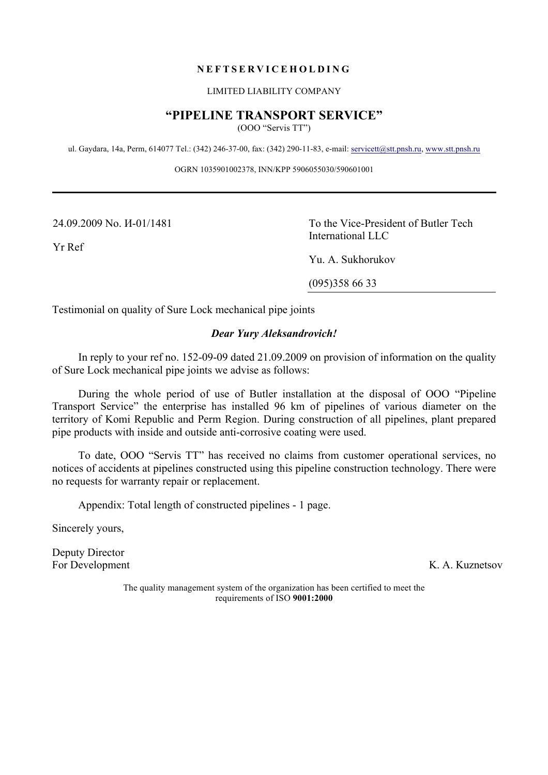## **NEFTSERVICEHOLDING**

#### LIMITED LIABILITY COMPANY

# **"PIPELINE TRANSPORT SERVICE"**

(OOO "Servis TT")

ul. Gaydara, 14а, Perm, 614077 Tel.: (342) 246-37-00, fax: (342) 290-11-83, e-mail: servicett@stt.pnsh.ru, www.stt.pnsh.ru

OGRN 1035901002378, INN/KPP 5906055030/590601001

24.09.2009 No. И-01/1481

Yr Ref

To the Vice-President of Butler Tech International LLC

Yu. A. Sukhorukov

(095)358 66 33

Testimonial on quality of Sure Lock mechanical pipe joints

## *Dear Yury Aleksandrovich!*

In reply to your ref no. 152-09-09 dated 21.09.2009 on provision of information on the quality of Sure Lock mechanical pipe joints we advise as follows:

During the whole period of use of Butler installation at the disposal of OOO "Pipeline Transport Service" the enterprise has installed 96 km of pipelines of various diameter on the territory of Komi Republic and Perm Region. During construction of all pipelines, plant prepared pipe products with inside and outside anti-corrosive coating were used.

To date, OOO "Servis TT" has received no claims from customer operational services, no notices of accidents at pipelines constructed using this pipeline construction technology. There were no requests for warranty repair or replacement.

Appendix: Total length of constructed pipelines - 1 page.

Sincerely yours,

Deputy Director For Development K. A. Kuznetsov

The quality management system of the organization has been certified to meet the requirements of ISO **9001:2000**